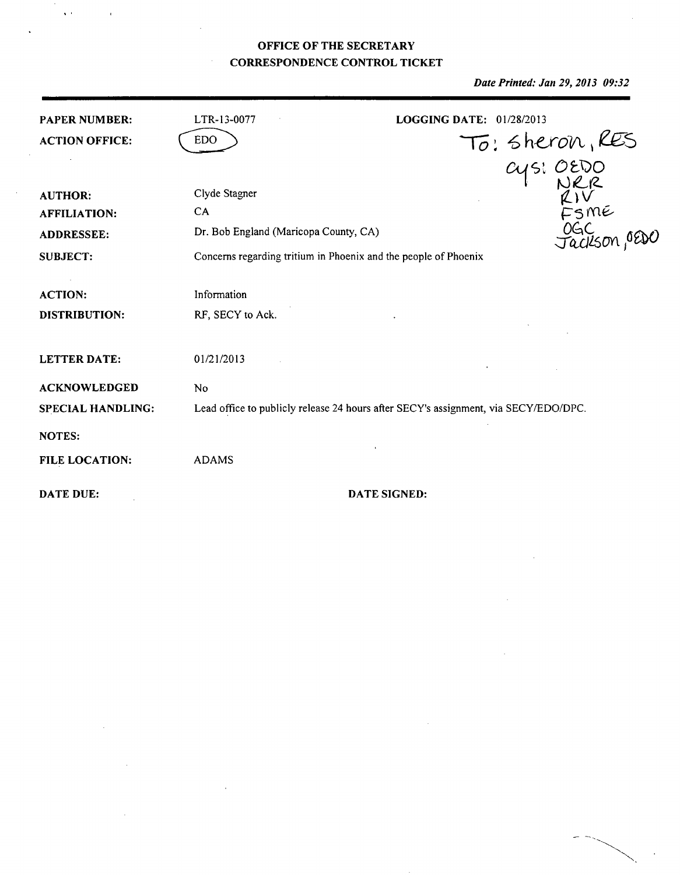## **OFFICE** OF THE SECRETARY **CORRESPONDENCE** CONTROL TICKET

 $\sqrt{2}$ 

 $\overline{1}$ 

 $\bar{z}$ 

*Date Printed: Jan 29, 2013 09:32*

 $\frac{1}{2}$ 

| <b>PAPER NUMBER:</b><br><b>ACTION OFFICE:</b>                                 | LTR-13-0077<br><b>EDO</b>                                                                                                        | LOGGING DATE: 01/28/2013                                                            |
|-------------------------------------------------------------------------------|----------------------------------------------------------------------------------------------------------------------------------|-------------------------------------------------------------------------------------|
| <b>AUTHOR:</b><br><b>AFFILIATION:</b><br><b>ADDRESSEE:</b><br><b>SUBJECT:</b> | Clyde Stagner<br>CA.<br>Dr. Bob England (Maricopa County, CA)<br>Concerns regarding tritium in Phoenix and the people of Phoenix | To: Sheron, RES<br>Cys: OEDO<br>RIV<br>KIV<br>FSME<br>Jackson, OEDC                 |
| <b>ACTION:</b><br><b>DISTRIBUTION:</b>                                        | Information<br>RF, SECY to Ack.                                                                                                  |                                                                                     |
| <b>LETTER DATE:</b>                                                           | 01/21/2013                                                                                                                       |                                                                                     |
| <b>ACKNOWLEDGED</b><br><b>SPECIAL HANDLING:</b><br><b>NOTES:</b>              | No                                                                                                                               | Lead office to publicly release 24 hours after SECY's assignment, via SECY/EDO/DPC. |
| <b>FILE LOCATION:</b>                                                         | <b>ADAMS</b>                                                                                                                     |                                                                                     |
| <b>DATE DUE:</b>                                                              |                                                                                                                                  | <b>DATE SIGNED:</b>                                                                 |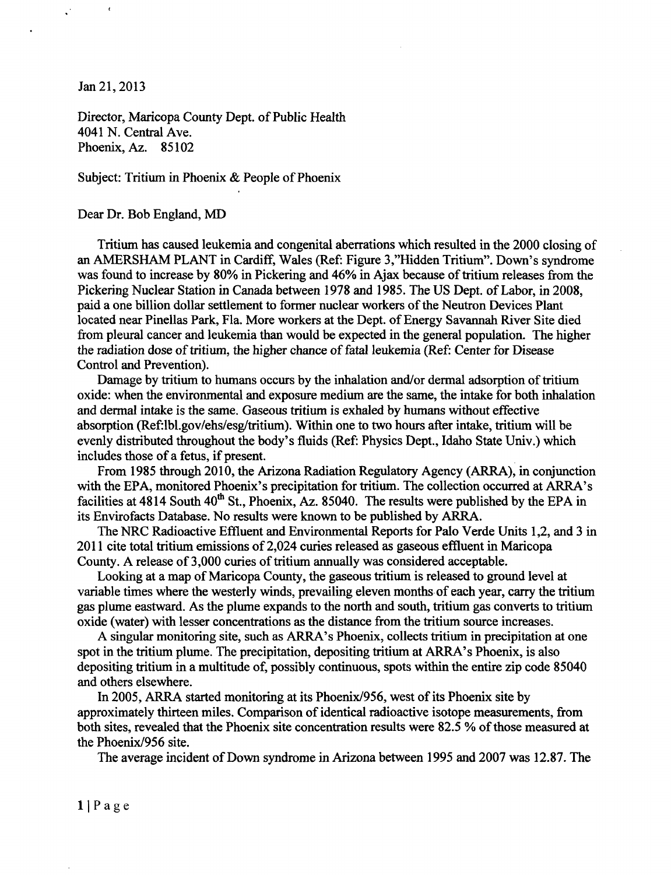Jan 21, 2013

 $\epsilon$ 

Director, Maricopa County Dept. of Public Health 4041 N. Central Ave. Phoenix, Az. 85102

Subject: Tritium in Phoenix & People of Phoenix

## Dear Dr. Bob England, MD

Tritium has caused leukemia and congenital aberrations which resulted in the 2000 closing of an AMERSHAM PLANT in Cardiff, Wales (Ref: Figure 3,"Hidden Tritium". Down's syndrome was found to increase by 80% in Pickering and 46% in Ajax because of tritium releases from the Pickering Nuclear Station in Canada between 1978 and 1985. The US Dept. of Labor, in 2008, paid a one billion dollar settlement to former nuclear workers of the Neutron Devices Plant located near Pinellas Park, Fla. More workers at the Dept. of Energy Savannah River Site died from pleural cancer and leukemia than would be expected in the general population. The higher the radiation dose of tritium, the higher chance of fatal leukemia (Ref: Center for Disease Control and Prevention).

Damage by tritium to humans occurs by the inhalation and/or dermal adsorption of tritium oxide: when the environmental and exposure medium are the same, the intake for both inhalation and dermal intake is the same. Gaseous tritium is exhaled by humans without effective absorption (Ref:lbl.gov/ehs/esg/tritium). Within one to two hours after intake, tritium will be evenly distributed throughout the body's fluids (Ref: Physics Dept., Idaho State Univ.) which includes those of a fetus, if present.

From 1985 through 2010, the Arizona Radiation Regulatory Agency (ARRA), in conjunction with the EPA, monitored Phoenix's precipitation for tritium. The collection occurred at ARRA's facilities at  $4814$  South  $40^{th}$  St., Phoenix, Az. 85040. The results were published by the EPA in its Envirofacts Database. No results were known to be published by ARRA.

The NRC Radioactive Effluent and Environmental Reports for Palo Verde Units 1,2, and 3 in 2011 cite total tritium emissions of 2,024 curies released as gaseous effluent in Maricopa County. A release of 3,000 curies of tritium annually was considered acceptable.

Looking at a map of Maricopa County, the gaseous tritium is released to ground level at variable times where the westerly winds, prevailing eleven months of each year, carry the tritium gas plume eastward. As the plume expands to the north and south, tritium gas converts to tritium oxide (water) with lesser concentrations as the distance from the tritium source increases.

A singular monitoring site, such as ARRA's Phoenix, collects tritium in precipitation at one spot in the tritium plume. The precipitation, depositing tritium at ARRA's Phoenix, is also depositing tritium in a multitude of, possibly continuous, spots within the entire zip code 85040 and others elsewhere.

In 2005, ARRA started monitoring at its Phoenix/956, west of its Phoenix site by approximately thirteen miles. Comparison of identical radioactive isotope measurements, from both sites, revealed that the Phoenix site concentration results were 82.5 % of those measured at the Phoenix/956 site.

The average incident of Down syndrome in Arizona between 1995 and 2007 was 12.87. The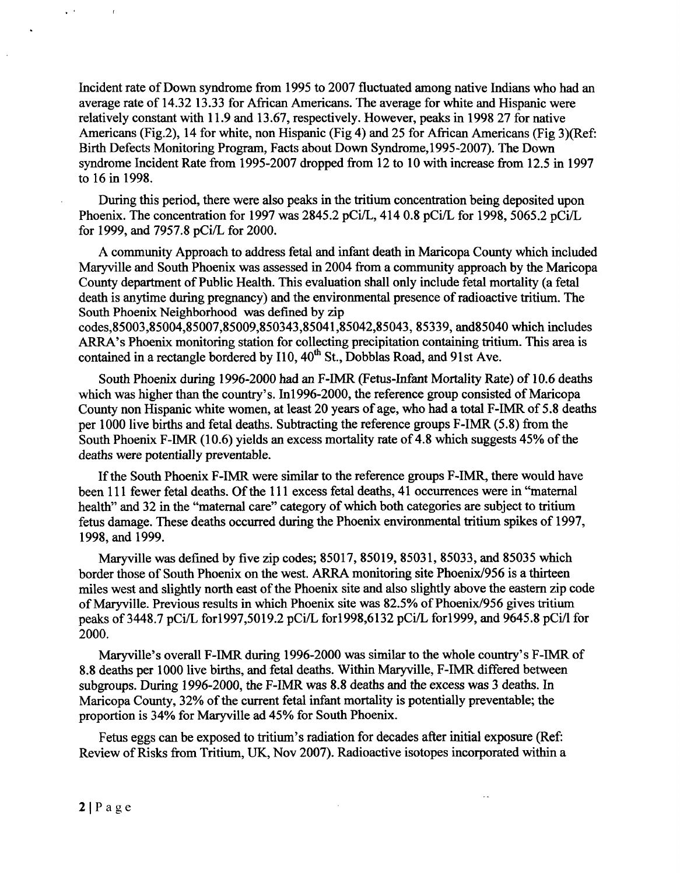Incident rate of Down syndrome from 1995 to 2007 fluctuated among native Indians who had an average rate of 14.32 13.33 for African Americans. The average for white and Hispanic were relatively constant with 11.9 and 13.67, respectively. However, peaks in 1998 27 for native Americans (Fig.2), 14 for white, non Hispanic (Fig 4) and 25 for African Americans (Fig 3)(Ref: Birth Defects Monitoring Program, Facts about Down Syndrome,1995-2007). The Down syndrome Incident Rate from 1995-2007 dropped from 12 to 10 with increase from 12.5 in 1997 to 16 in 1998.

During this period, there were also peaks in the tritium concentration being deposited upon Phoenix. The concentration for 1997 was 2845.2 pCi/L, 414 0.8 pCi/L for 1998, 5065.2 pCi/L for 1999, and 7957.8 pCi/L for 2000.

A community Approach to address fetal and infant death in Maricopa County which included Maryville and South Phoenix was assessed in 2004 from a community approach by the Maricopa County department of Public Health. This evaluation shall only include fetal mortality (a fetal death is anytime during pregnancy) and the environmental presence of radioactive tritium. The South Phoenix Neighborhood was defined by zip

codes,85003,85004,85007,85009,850343,85041,85042,85043, 85339, and85040 which includes ARRA's Phoenix monitoring station for collecting precipitation containing tritium. This area is contained in a rectangle bordered by  $110$ ,  $40^{th}$  St., Dobblas Road, and 91st Ave.

South Phoenix during 1996-2000 had an F-IMR (Fetus-Infant Mortality Rate) of 10.6 deaths which was higher than the country's. In1996-2000, the reference group consisted of Maricopa County non Hispanic white women, at least 20 years of age, who had a total F-IMR of 5.8 deaths per 1000 live births and fetal deaths. Subtracting the reference groups F-IMR (5.8) from the South Phoenix F-IMR (10.6) yields an excess mortality rate of 4.8 which suggests 45% of the deaths were potentially preventable.

If the South Phoenix F-IMR were similar to the reference groups F-IMR, there would have been 111 fewer fetal deaths. Of the 111 excess fetal deaths, 41 occurrences were in "maternal health" and 32 in the "maternal care" category of which both categories are subject to tritium fetus damage. These deaths occurred during the Phoenix environmental tritium spikes of 1997, 1998, and 1999.

Maryville was defined by five zip codes; 85017, 85019, 85031, 85033, and 85035 which border those of South Phoenix on the west. ARRA monitoring site Phoenix/956 is a thirteen miles west and slightly north east of the Phoenix site and also slightly above the eastern zip code of Maryville. Previous results in which Phoenix site was 82.5% of Phoenix/956 gives tritium peaks of 3448.7 pCi/L for1997,5019.2 pCi/L for1998,6132 pCi/L for1999, and 9645.8 pCi/I for 2000.

Maryville's overall F-IMR during 1996-2000 was similar to the whole country's F-IMR of 8.8 deaths per 1000 live births, and fetal deaths. Within Maryville, F-IMR differed between subgroups. During 1996-2000, the F-IMR was 8.8 deaths and the excess was 3 deaths. In Maricopa County, 32% of the current fetal infant mortality is potentially preventable; the proportion is 34% for Maryville ad 45% for South Phoenix.

Fetus eggs can be exposed to tritium's radiation for decades after initial exposure (Ref: Review of Risks from Tritium, UK, Nov 2007). Radioactive isotopes incorporated within a

 $\bar{z}$ 

 $\sim 10^{-1}$ 

 $\bullet$ 

 $\mathbf{r}$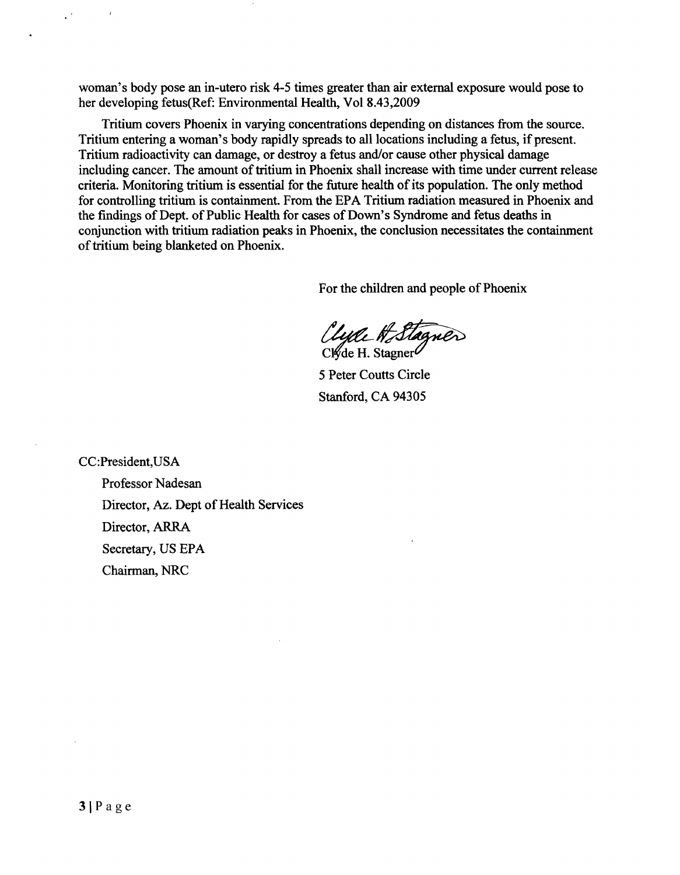woman's body pose an in-utero risk 4-5 times greater than air external exposure would pose to her developing fetus(Ref: Environmental Health, Vol 8.43,2009

Tritium covers Phoenix in varying concentrations depending on distances from the source. Tritium entering a woman's body rapidly spreads to all locations including a fetus, if present. Tritium radioactivity can damage, or destroy a fetus and/or cause other physical damage including cancer. The amount of tritium in Phoenix shall increase with time under current release criteria. Monitoring tritium is essential for the future health of its population. The only method for controlling tritium is containment. From the EPA Tritium radiation measured in Phoenix and the findings of Dept. of Public Health for cases of Down's Syndrome and fetus deaths in conjunction with tritium radiation peaks in Phoenix, the conclusion necessitates the containment of tritium being blanketed on Phoenix.

For the children and people of Phoenix

Clyde H Stagner

5 Peter Coutts Circle Stanford, CA 94305

CC:President,USA Professor Nadesan Director, Az. Dept of Health Services Director, ARRA Secretary, US EPA Chairman, NRC

 $\epsilon$